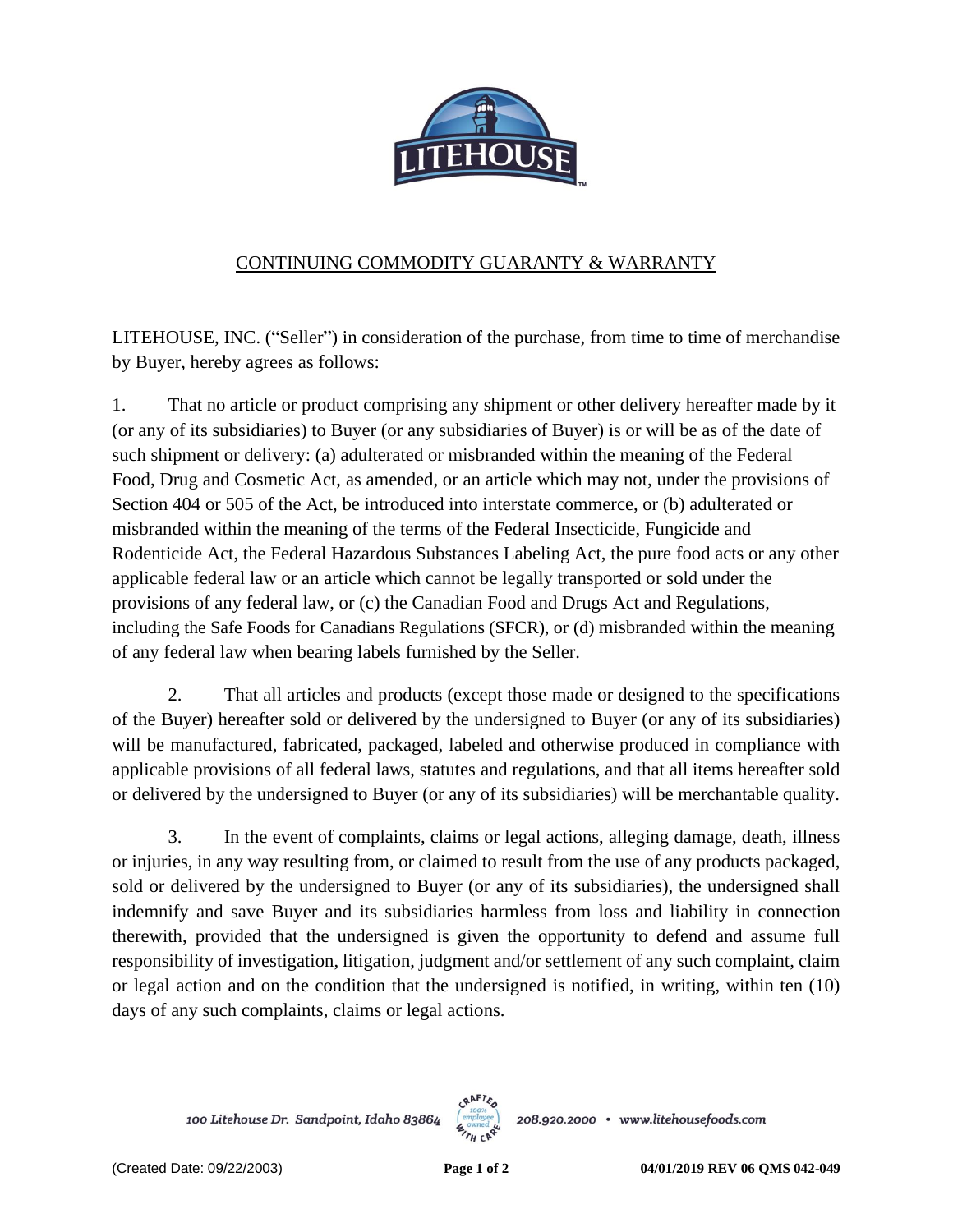

## CONTINUING COMMODITY GUARANTY & WARRANTY

LITEHOUSE, INC. ("Seller") in consideration of the purchase, from time to time of merchandise by Buyer, hereby agrees as follows:

1. That no article or product comprising any shipment or other delivery hereafter made by it (or any of its subsidiaries) to Buyer (or any subsidiaries of Buyer) is or will be as of the date of such shipment or delivery: (a) adulterated or misbranded within the meaning of the Federal Food, Drug and Cosmetic Act, as amended, or an article which may not, under the provisions of Section 404 or 505 of the Act, be introduced into interstate commerce, or (b) adulterated or misbranded within the meaning of the terms of the Federal Insecticide, Fungicide and Rodenticide Act, the Federal Hazardous Substances Labeling Act, the pure food acts or any other applicable federal law or an article which cannot be legally transported or sold under the provisions of any federal law, or (c) the Canadian Food and Drugs Act and Regulations, including the Safe Foods for Canadians Regulations (SFCR), or (d) misbranded within the meaning of any federal law when bearing labels furnished by the Seller.

2. That all articles and products (except those made or designed to the specifications of the Buyer) hereafter sold or delivered by the undersigned to Buyer (or any of its subsidiaries) will be manufactured, fabricated, packaged, labeled and otherwise produced in compliance with applicable provisions of all federal laws, statutes and regulations, and that all items hereafter sold or delivered by the undersigned to Buyer (or any of its subsidiaries) will be merchantable quality.

3. In the event of complaints, claims or legal actions, alleging damage, death, illness or injuries, in any way resulting from, or claimed to result from the use of any products packaged, sold or delivered by the undersigned to Buyer (or any of its subsidiaries), the undersigned shall indemnify and save Buyer and its subsidiaries harmless from loss and liability in connection therewith, provided that the undersigned is given the opportunity to defend and assume full responsibility of investigation, litigation, judgment and/or settlement of any such complaint, claim or legal action and on the condition that the undersigned is notified, in writing, within ten (10) days of any such complaints, claims or legal actions.

100 Litehouse Dr. Sandpoint, Idaho 83864